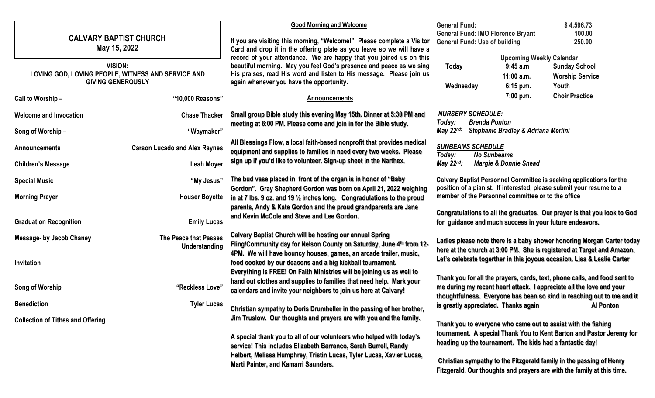# **CALVARY BAPTIST CHURCH May 15, 2022**

### **VISION: LOVING GOD, LOVING PEOPLE, WITNESS AND SERVICE AND GIVING GENEROUSLY**

| Call to Worship-                         | "10,000 Reasons"                                                                                                                        | <b>Announcements</b>                                                                                                                                                                                                                                                                                                                                                                                                                                                                         | <b>Choir Practice</b><br>7:00 p.m.                                                                                                                                                                       |
|------------------------------------------|-----------------------------------------------------------------------------------------------------------------------------------------|----------------------------------------------------------------------------------------------------------------------------------------------------------------------------------------------------------------------------------------------------------------------------------------------------------------------------------------------------------------------------------------------------------------------------------------------------------------------------------------------|----------------------------------------------------------------------------------------------------------------------------------------------------------------------------------------------------------|
| <b>Welcome and Invocation</b>            | <b>Chase Thacker</b>                                                                                                                    | Small group Bible study this evening May 15th. Dinner at 5:30 PM and<br>meeting at 6:00 PM. Please come and join in for the Bible study.                                                                                                                                                                                                                                                                                                                                                     | <b>NURSERY SCHEDULE:</b>                                                                                                                                                                                 |
| Song of Worship-                         | "Waymaker"                                                                                                                              |                                                                                                                                                                                                                                                                                                                                                                                                                                                                                              | Today:<br><b>Brenda Ponton</b><br>May 22nd:<br>Stephanie Bradley & Adriana Merlini                                                                                                                       |
| <b>Announcements</b>                     | <b>Carson Lucado and Alex Raynes</b>                                                                                                    | All Blessings Flow, a local faith-based nonprofit that provides medical<br>equipment and supplies to families in need every two weeks. Please<br>sign up if you'd like to volunteer. Sign-up sheet in the Narthex.                                                                                                                                                                                                                                                                           | <b>SUNBEAMS SCHEDULE</b><br><b>No Sunbeams</b><br>Today:                                                                                                                                                 |
| <b>Children's Message</b>                | <b>Leah Moyer</b>                                                                                                                       |                                                                                                                                                                                                                                                                                                                                                                                                                                                                                              | May $22^{nd}$ :<br><b>Margie &amp; Donnie Snead</b>                                                                                                                                                      |
| <b>Special Music</b>                     | "My Jesus"                                                                                                                              | The bud vase placed in front of the organ is in honor of "Baby"<br>Gordon". Gray Shepherd Gordon was born on April 21, 2022 weighing<br>in at 7 lbs. 9 oz. and 19 $\frac{1}{2}$ inches long. Congradulations to the proud<br>parents, Andy & Kate Gordon and the proud grandparents are Jane<br>and Kevin McCole and Steve and Lee Gordon.                                                                                                                                                   | <b>Calvary Baptist Personnel Committee is seeking applications fo</b>                                                                                                                                    |
| <b>Morning Prayer</b>                    | <b>Houser Boyette</b>                                                                                                                   |                                                                                                                                                                                                                                                                                                                                                                                                                                                                                              | position of a pianist. If interested, please submit your resume to<br>member of the Personnel committee or to the office                                                                                 |
| <b>Graduation Recognition</b>            | <b>Emily Lucas</b>                                                                                                                      |                                                                                                                                                                                                                                                                                                                                                                                                                                                                                              | Congratulations to all the graduates. Our prayer is that you lool<br>for guidance and much success in your future endeavors.                                                                             |
| <b>Message- by Jacob Chaney</b>          | The Peace that Passes<br>Understanding                                                                                                  | <b>Calvary Baptist Church will be hosting our annual Spring</b><br>Fling/Community day for Nelson County on Saturday, June 4th from 12-<br>4PM. We will have bouncy houses, games, an arcade trailer, music,<br>food cooked by our deacons and a big kickball tournament.<br>Everything is FREE! On Faith Ministries will be joining us as well to<br>hand out clothes and supplies to families that need help. Mark your<br>calendars and invite your neighbors to join us here at Calvary! | Ladies please note there is a baby shower honoring Morgan Car<br>here at the church at 3:00 PM. She is registered at Target and A<br>Let's celebrate togerther in this joyous occasion. Lisa & Leslie (  |
| Invitation<br>Song of Worship            | "Reckless Love"                                                                                                                         |                                                                                                                                                                                                                                                                                                                                                                                                                                                                                              | Thank you for all the prayers, cards, text, phone calls, and food<br>me during my recent heart attack. I appreciate all the love and y<br>thoughtfulness. Everyone has been so kind in reaching out to n |
| <b>Benediction</b>                       | <b>Tyler Lucas</b>                                                                                                                      | Christian sympathy to Doris Drumheller in the passing of her brother,                                                                                                                                                                                                                                                                                                                                                                                                                        | is greatly appreciated. Thanks again<br><b>Al Ponto</b>                                                                                                                                                  |
| <b>Collection of Tithes and Offering</b> |                                                                                                                                         | Jim Truslow. Our thoughts and prayers are with you and the family.                                                                                                                                                                                                                                                                                                                                                                                                                           | Thank you to everyone who came out to assist with the fishing                                                                                                                                            |
|                                          | A special thank you to all of our volunteers who helped with today's<br>service! This includes Elizabeth Barranco, Sarah Burrell, Randy | tournament. A special Thank You to Kent Barton and Pastor Jer<br>heading up the tournament. The kids had a fantastic day!                                                                                                                                                                                                                                                                                                                                                                    |                                                                                                                                                                                                          |
|                                          |                                                                                                                                         | Helbert, Melissa Humphrey, Tristin Lucas, Tyler Lucas, Xavier Lucas,<br>Marti Painter, and Kamarri Saunders.                                                                                                                                                                                                                                                                                                                                                                                 | Christian sympathy to the Fitzgerald family in the passing of He                                                                                                                                         |

**If you are visiting this morning, "Welcome!" Please complete a Visitor Card and drop it in the offering plate as you leave so we will have a record of your attendance. We are happy that you joined us on this beautiful morning. May you feel God's presence and peace as we sing His praises, read His word and listen to His message. Please join us again whenever you have the opportunity.**

**Good Morning and Welcome**

| <b>General Fund:</b>                     | \$4,596.73 |
|------------------------------------------|------------|
| <b>General Fund: IMO Florence Bryant</b> | 100.00     |
| <b>General Fund: Use of building</b>     | 250.00     |

|                          | <b>Upcoming Weekly Calendar</b> |                        |
|--------------------------|---------------------------------|------------------------|
| Today                    | 9:45a.m                         | <b>Sunday School</b>   |
|                          | $11:00$ a.m.                    | <b>Worship Service</b> |
| Wednesday                | 6:15 p.m.                       | Youth                  |
|                          | 7:00 p.m.                       | <b>Choir Practice</b>  |
| <b>NURSERY SCHEDULE:</b> |                                 |                        |

**Calvary Baptist Personnel Committee is seeking applications for the position of a pianist. If interested, please submit your resume to a** 

**k** to God

**Ladies today kmazon. Let's celebrate togerther in this joyous occasion. Lisa & Leslie Carter** 

**Thank you for all the prayers, cards, text, phone calls, and food sent to me during my recent heart attack. I appreciate all the love and your**  me and it **is greatly appreciated. Thanks again The Content Content Content Content** 

remy for

**Christian sympathy to the Fitzgerald family in the passing of Henry Fitzgerald. Our thoughts and prayers are with the family at this time.**